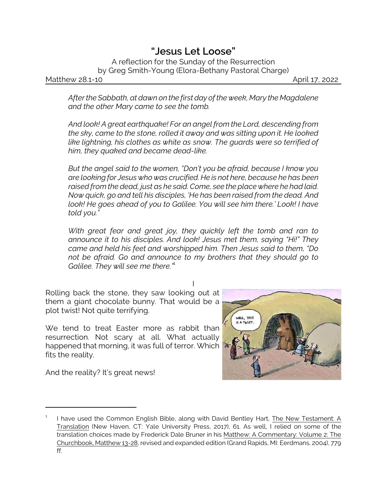## *"Jesus Let Loose"*

A reflection for the Sunday of the Resurrection by Greg Smith-Young (Elora-Bethany Pastoral Charge)

Matthew 28.1-10 **April 17, 2022** 

*After the Sabbath, at dawn on the first day of the week, Mary the Magdalene and the other Mary came to see the tomb.* 

*And look! A great earthquake! For an angel from the Lord, descending from the sky, came to the stone, rolled it away and was sitting upon it. He looked like lightning, his clothes as white as snow. The guards were so terrified of him, they quaked and became dead-like.* 

*But the angel said to the women, "Don't you be afraid, because I know you are looking for Jesus who was crucified. He is not here, because he has been raised from the dead, just as he said. Come, see the place where he had laid. Now quick, go and tell his disciples, 'He has been raised from the dead. And look! He goes ahead of you to Galilee. You will see him there.' Look! I have told you."*

*With great fear and great joy, they quickly left the tomb and ran to announce it to his disciples. And look! Jesus met them, saying "Hi!" They came and held his feet and worshipped him. Then Jesus said to them, "Do not be afraid. Go and announce to my brothers that they should go to Galilee. They will see me there.*"<sup>1</sup>

I Rolling back the stone, they saw looking out at them a giant chocolate bunny. That would be a plot twist! Not quite terrifying.

We tend to treat Easter more as rabbit than resurrection. Not scary at all. What actually happened that morning, it was full of terror. Which fits the reality.

And the reality? It's great news!



<sup>1</sup> I have used the Common English Bible, along with David Bentley Hart, The New Testament: A Translation (New Haven, CT: Yale University Press, 2017), 61. As well, I relied on some of the translation choices made by Frederick Dale Bruner in his Matthew: A Commentary: Volume 2: The Churchbook, Matthew 13-28, revised and expanded edition (Grand Rapids, MI: Eerdmans, 2004), 779 ff.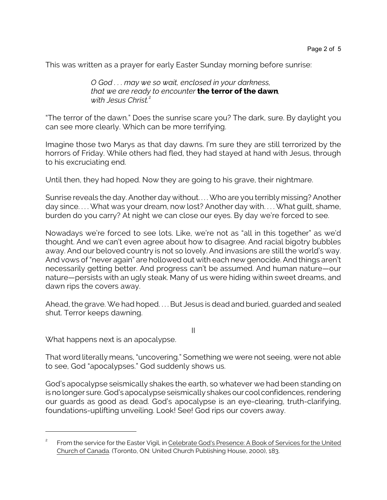This was written as a prayer for early Easter Sunday morning before sunrise:

*O God . . . may we so wait, enclosed in your darkness, that we are ready to encounter the terror of the dawn, with Jesus Christ.*<sup>2</sup>

"The terror of the dawn." Does the sunrise scare you? The dark, sure. By daylight you can see more clearly. Which can be more terrifying.

Imagine those two Marys as that day dawns. I'm sure they are still terrorized by the horrors of Friday. While others had fled, they had stayed at hand with Jesus, through to his excruciating end.

Until then, they had hoped. Now they are going to his grave, their nightmare.

Sunrise reveals the day. Another day without. . . . Who are you terribly missing? Another day since.... What was your dream, now lost? Another day with.... What quilt, shame, burden do you carry? At night we can close our eyes. By day we're forced to see.

Nowadays we're forced to see lots. Like, we're not as "all in this together" as we'd thought. And we can't even agree about how to disagree. And racial bigotry bubbles away. And our beloved country is not so lovely. And invasions are still the world's way. And vows of "never again" are hollowed out with each new genocide. And things aren't necessarily getting better. And progress can't be assumed. And human nature—our nature—persists with an ugly steak. Many of us were hiding within sweet dreams, and dawn rips the covers away.

Ahead, the grave. We had hoped. . . . But Jesus is dead and buried, guarded and sealed shut. Terror keeps dawning.

II

What happens next is an apocalypse.

That word literally means, "uncovering." Something we were not seeing, were not able to see, God "apocalypses." God suddenly shows us.

God's apocalypse seismically shakes the earth, so whatever we had been standing on is no longer sure. God's apocalypse seismically shakes our cool confidences, rendering our guards as good as dead. God's apocalypse is an eye-clearing, truth-clarifying, foundations-uplifting unveiling. Look! See! God rips our covers away.

<sup>2</sup> From the service for the Easter Vigil, in Celebrate God's Presence: A Book of Services for the United Church of Canada. (Toronto, ON: United Church Publishing House, 2000), 183.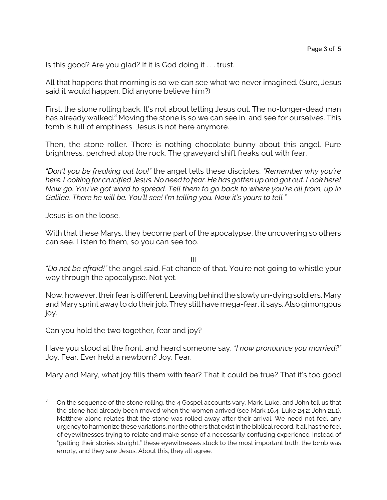Is this good? Are you glad? If it is God doing it . . . trust.

All that happens that morning is so we can see what we never imagined. (Sure, Jesus said it would happen. Did anyone believe him?)

First, the stone rolling back. It's not about letting Jesus out. The no-longer-dead man has already walked.<sup>3</sup> Moving the stone is so we can see in, and see for ourselves. This tomb is full of emptiness. Jesus is not here anymore.

Then, the stone-roller. There is nothing chocolate-bunny about this angel. Pure brightness, perched atop the rock. The graveyard shift freaks out with fear.

*"Don't you be freaking out too!"* the angel tells these disciples. *"Remember why you're here. Looking for crucified Jesus. No need to fear. He has gotten up and got out. Look here! Now go. You've got word to spread. Tell them to go back to where you're all from, up in Galilee. There he will be. You'll see! I'm telling you. Now it's yours to tell."*

Jesus is on the loose.

With that these Marys, they become part of the apocalypse, the uncovering so others can see. Listen to them, so you can see too.

III

*"Do not be afraid!"* the angel said. Fat chance of that. You're not going to whistle your way through the apocalypse. Not yet.

Now, however, their fear is different. Leaving behind the slowly un-dying soldiers, Mary and Mary sprint away to do their job. They still have mega-fear, it says. Also gimongous joy.

Can you hold the two together, fear and joy?

Have you stood at the front, and heard someone say, *"I now pronounce you married?"* Joy. Fear. Ever held a newborn? Joy. Fear.

Mary and Mary, what joy fills them with fear? That it could be true? That it's too good

On the sequence of the stone rolling, the 4 Gospel accounts vary. Mark, Luke, and John tell us that the stone had already been moved when the women arrived (see Mark 16.4; Luke 24.2; John 21.1). Matthew alone relates that the stone was rolled away after their arrival. We need not feel any urgency to harmonize these variations, nor the others that exist in the biblicalrecord. It all has the feel of eyewitnesses trying to relate and make sense of a necessarily confusing experience. Instead of "getting their stories straight," these eyewitnesses stuck to the most important truth: the tomb was empty, and they saw Jesus. About this, they all agree.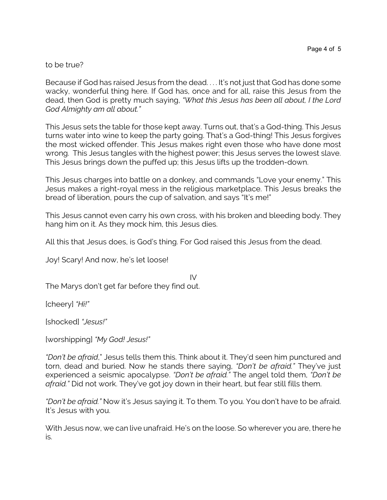## to be true?

Because if God has raised Jesus from the dead. . . . It's not just that God has done some wacky, wonderful thing here. If God has, once and for all, raise this Jesus from the dead, then God is pretty much saying, *"What this Jesus has been all about, I the Lord God Almighty am all about."*

This Jesus sets the table for those kept away. Turns out, that's a God-thing. This Jesus turns water into wine to keep the party going. That's a God-thing! This Jesus forgives the most wicked offender. This Jesus makes right even those who have done most wrong. This Jesus tangles with the highest power; this Jesus serves the lowest slave. This Jesus brings down the puffed up; this Jesus lifts up the trodden-down.

This Jesus charges into battle on a donkey, and commands "Love your enemy." This Jesus makes a right-royal mess in the religious marketplace. This Jesus breaks the bread of liberation, pours the cup of salvation, and says "It's me!"

This Jesus cannot even carry his own cross, with his broken and bleeding body. They hang him on it. As they mock him, this Jesus dies.

All this that Jesus does, is God's thing. For God raised this Jesus from the dead.

Joy! Scary! And now, he's let loose!

IV The Marys don't get far before they find out.

[cheery] *"Hi!"* 

[shocked] *"Jesus!"*

[worshipping] *"My God! Jesus!"*

*"Don't be afraid*," Jesus tells them this. Think about it. They'd seen him punctured and torn, dead and buried. Now he stands there saying, *"Don't be afraid."* They've just experienced a seismic apocalypse. *"Don't be afraid."* The angel told them, *"Don't be afraid."* Did not work. They've got joy down in their heart, but fear still fills them.

*"Don't be afraid."* Now it's Jesus saying it. To them. To you. You don't have to be afraid. It's Jesus with you.

With Jesus now, we can live unafraid. He's on the loose. So wherever you are, there he is.